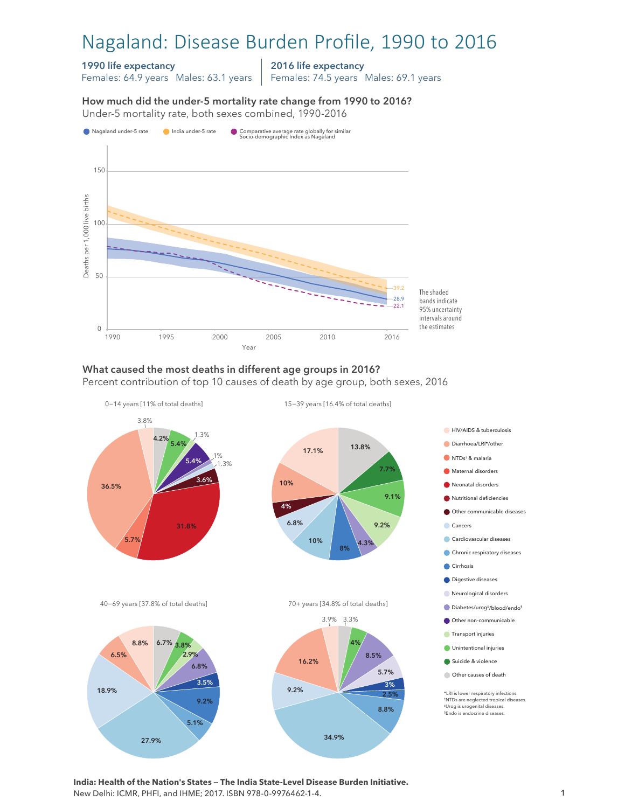# Nagaland: Disease Burden Profile, 1990 to 2016

### 1990 life expectancy

Females: 64.9 years Males: 63.1 years

2016 life expectancy

Females: 74.5 years Males: 69.1 years

How much did the under-5 mortality rate change from 1990 to 2016? Under-5 mortality rate, both sexes combined, 1990-2016 Under-5 mortality rate, both sexes combined, 1990-2016 How much did the under-5 mortality rate change from 1990 to 2016?



### What caused the most deaths in different age groups in 2016?

Percent contribution of top 10 causes of death by age group, both sexes, 2016



**India: Health of the Nation's States — The India State-Level Disease Burden Initiative.**  New Delhi: ICMR, PHFI, and IHME; 2017. ISBN 978-0-9976462-1-4.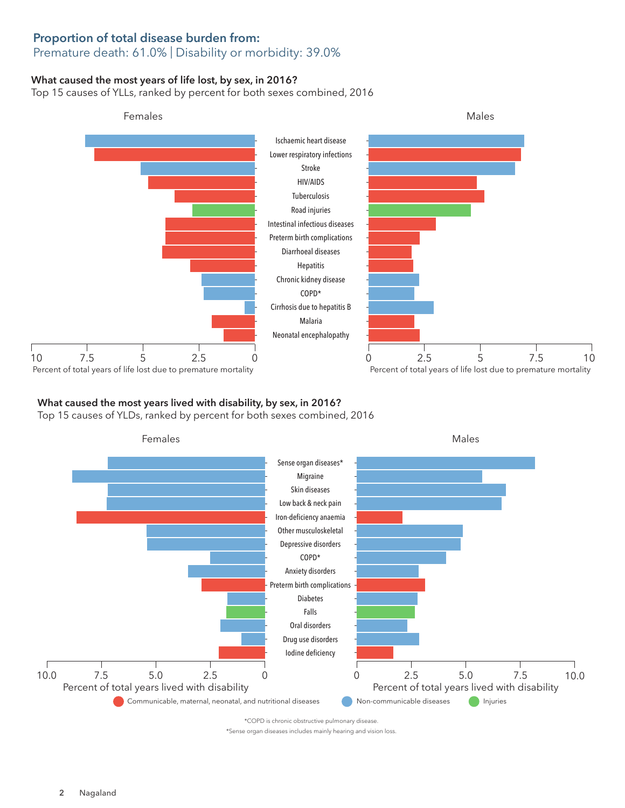## Proportion of total disease burden from:

## Premature death: 61.0% | Disability or morbidity: 39.0%

#### What caused the most years of life lost, by sex, in 2016?

Top 15 causes of YLLs, ranked by percent for both sexes combined, 2016



## What caused the most years lived with disability, by sex, in 2016?

Top 15 causes of YLDs, ranked by percent for both sexes combined, 2016



\*COPD is chronic obstructive pulmonary disease.

\*Sense organ diseases includes mainly hearing and vision loss.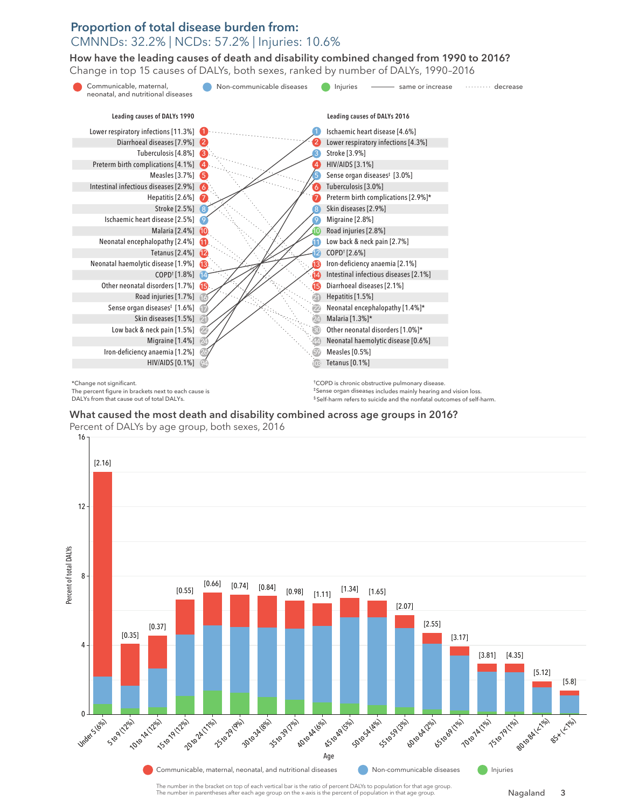## Proportion of total disease burden from: CMNNDs: 32.2% | NCDs: 57.2% | Injuries: 10.6%

How have the leading causes of death and disability combined changed from 1990 to 2016? How have the leading causes of death and disability combined changed from 1990 to 2016? Change in top 15 causes of DALYs, both sexes, ranked by number of DALYs, 1990–2016 Change in top 15 causes of DALYs, both sexes, ranked by number of DALYs, 1990–2016



What caused the most death and disability combined across age groups in 2016? What caused the most death and disability combined across age groups in 2016? Percent of DALYs by age group, both sexes, 2016 Percent of DALYs age group, both sexes, 2016



The number in the bracket on top of each vertical bar is the ratio of percent DALYs to population for that age group. The number in parentheses after each age group on the x-axis is the percent of population in that age group.